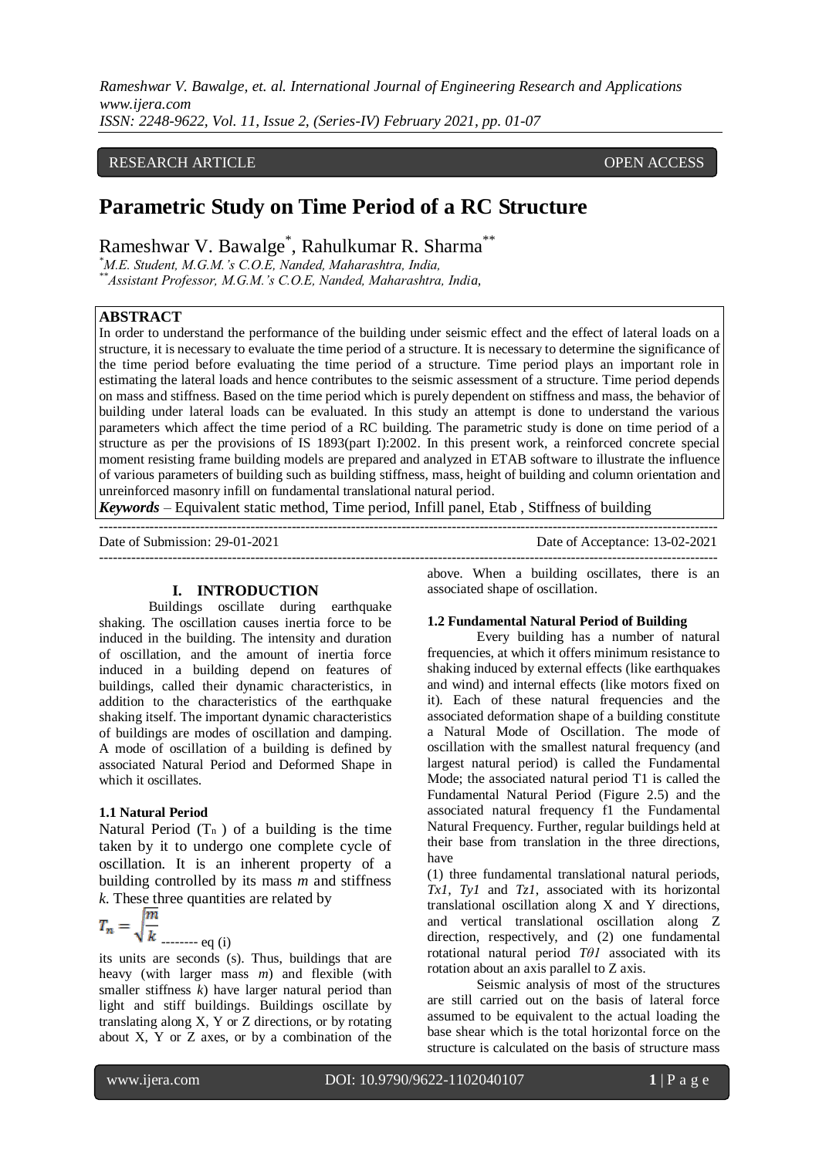*Rameshwar V. Bawalge, et. al. International Journal of Engineering Research and Applications www.ijera.com ISSN: 2248-9622, Vol. 11, Issue 2, (Series-IV) February 2021, pp. 01-07*

# RESEARCH ARTICLE **CONSERVERS** OPEN ACCESS

# **Parametric Study on Time Period of a RC Structure**

Rameshwar V. Bawalge<sup>\*</sup>, Rahulkumar R. Sharma<sup>\*\*</sup>

*\*M.E. Student, M.G.M.'s C.O.E, Nanded, Maharashtra, India, \*\*Assistant Professor, M.G.M.'s C.O.E, Nanded, Maharashtra, India,* 

# **ABSTRACT**

In order to understand the performance of the building under seismic effect and the effect of lateral loads on a structure, it is necessary to evaluate the time period of a structure. It is necessary to determine the significance of the time period before evaluating the time period of a structure. Time period plays an important role in estimating the lateral loads and hence contributes to the seismic assessment of a structure. Time period depends on mass and stiffness. Based on the time period which is purely dependent on stiffness and mass, the behavior of building under lateral loads can be evaluated. In this study an attempt is done to understand the various parameters which affect the time period of a RC building. The parametric study is done on time period of a structure as per the provisions of IS 1893(part I):2002. In this present work, a reinforced concrete special moment resisting frame building models are prepared and analyzed in ETAB software to illustrate the influence of various parameters of building such as building stiffness, mass, height of building and column orientation and unreinforced masonry infill on fundamental translational natural period.

*Keywords* – Equivalent static method, Time period, Infill panel, Etab , Stiffness of building ---------------------------------------------------------------------------------------------------------------------------------------

Date of Submission: 29-01-2021 Date of Acceptance: 13-02-2021

---------------------------------------------------------------------------------------------------------------------------------------

#### **I. INTRODUCTION**

Buildings oscillate during earthquake shaking. The oscillation causes inertia force to be induced in the building. The intensity and duration of oscillation, and the amount of inertia force induced in a building depend on features of buildings, called their dynamic characteristics, in addition to the characteristics of the earthquake shaking itself. The important dynamic characteristics of buildings are modes of oscillation and damping. A mode of oscillation of a building is defined by associated Natural Period and Deformed Shape in which it oscillates.

#### **1.1 Natural Period**

Natural Period  $(T_n)$  of a building is the time taken by it to undergo one complete cycle of oscillation. It is an inherent property of a building controlled by its mass *m* and stiffness *k*. These three quantities are related by

$$
T_n = \sqrt{\frac{m}{k}}
$$
........eq(i)

its units are seconds (s). Thus, buildings that are heavy (with larger mass *m*) and flexible (with smaller stiffness  $k$ ) have larger natural period than light and stiff buildings. Buildings oscillate by translating along X, Y or Z directions, or by rotating about X, Y or Z axes, or by a combination of the

above. When a building oscillates, there is an associated shape of oscillation.

### **1.2 Fundamental Natural Period of Building**

Every building has a number of natural frequencies, at which it offers minimum resistance to shaking induced by external effects (like earthquakes and wind) and internal effects (like motors fixed on it). Each of these natural frequencies and the associated deformation shape of a building constitute a Natural Mode of Oscillation. The mode of oscillation with the smallest natural frequency (and largest natural period) is called the Fundamental Mode; the associated natural period T1 is called the Fundamental Natural Period (Figure 2.5) and the associated natural frequency f1 the Fundamental Natural Frequency. Further, regular buildings held at their base from translation in the three directions, have

(1) three fundamental translational natural periods, *Tx1, Ty1* and *Tz1*, associated with its horizontal translational oscillation along X and Y directions, and vertical translational oscillation along Z direction, respectively, and (2) one fundamental rotational natural period *Tθ1* associated with its rotation about an axis parallel to Z axis.

Seismic analysis of most of the structures are still carried out on the basis of lateral force assumed to be equivalent to the actual loading the base shear which is the total horizontal force on the structure is calculated on the basis of structure mass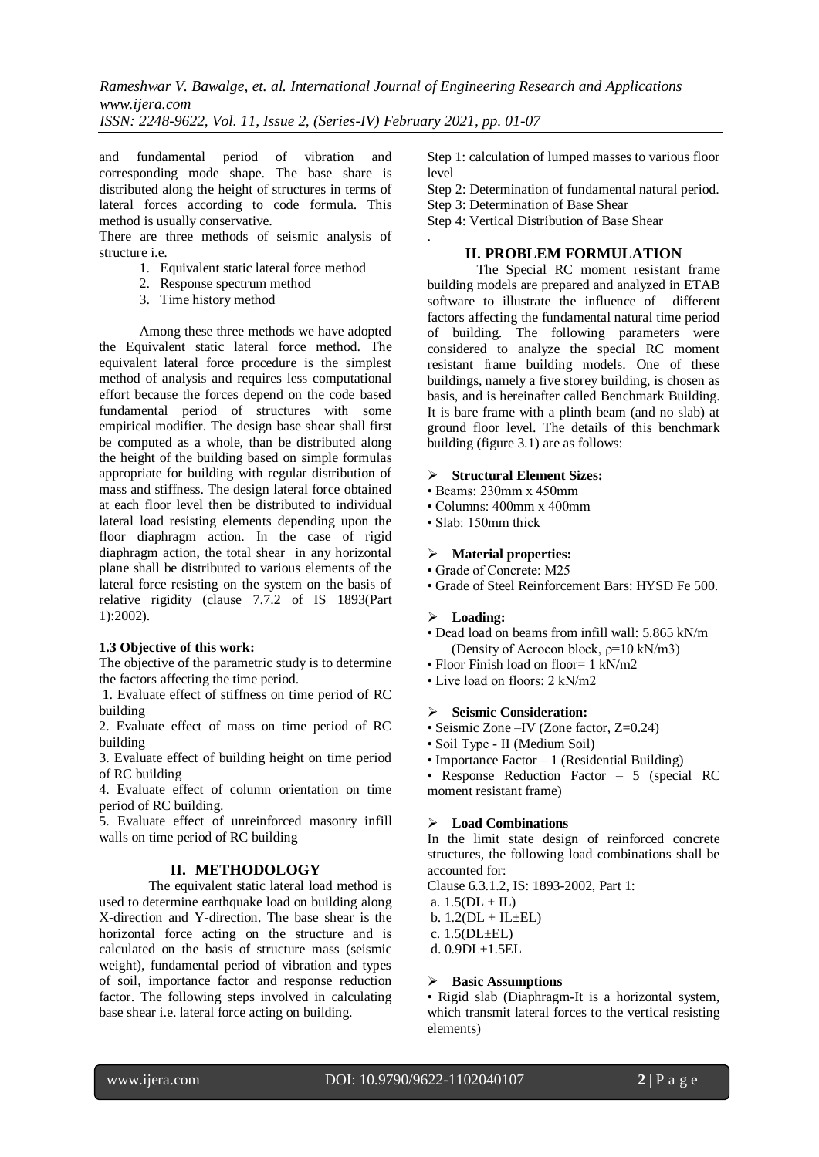*Rameshwar V. Bawalge, et. al. International Journal of Engineering Research and Applications www.ijera.com ISSN: 2248-9622, Vol. 11, Issue 2, (Series-IV) February 2021, pp. 01-07*

.

and fundamental period of vibration and corresponding mode shape. The base share is distributed along the height of structures in terms of lateral forces according to code formula. This method is usually conservative.

There are three methods of seismic analysis of structure i.e.

- 1. Equivalent static lateral force method
- 2. Response spectrum method
- 3. Time history method

Among these three methods we have adopted the Equivalent static lateral force method. The equivalent lateral force procedure is the simplest method of analysis and requires less computational effort because the forces depend on the code based fundamental period of structures with some empirical modifier. The design base shear shall first be computed as a whole, than be distributed along the height of the building based on simple formulas appropriate for building with regular distribution of mass and stiffness. The design lateral force obtained at each floor level then be distributed to individual lateral load resisting elements depending upon the floor diaphragm action. In the case of rigid diaphragm action, the total shear in any horizontal plane shall be distributed to various elements of the lateral force resisting on the system on the basis of relative rigidity (clause 7.7.2 of IS 1893(Part 1):2002).

### **1.3 Objective of this work:**

The objective of the parametric study is to determine the factors affecting the time period.

1. Evaluate effect of stiffness on time period of RC building

2. Evaluate effect of mass on time period of RC building

3. Evaluate effect of building height on time period of RC building

4. Evaluate effect of column orientation on time period of RC building.

5. Evaluate effect of unreinforced masonry infill walls on time period of RC building

# **II. METHODOLOGY**

The equivalent static lateral load method is used to determine earthquake load on building along X-direction and Y-direction. The base shear is the horizontal force acting on the structure and is calculated on the basis of structure mass (seismic weight), fundamental period of vibration and types of soil, importance factor and response reduction factor. The following steps involved in calculating base shear i.e. lateral force acting on building.

Step 1: calculation of lumped masses to various floor level

- Step 2: Determination of fundamental natural period.
- Step 3: Determination of Base Shear
- Step 4: Vertical Distribution of Base Shear

#### **II. PROBLEM FORMULATION**

The Special RC moment resistant frame building models are prepared and analyzed in ETAB software to illustrate the influence of different factors affecting the fundamental natural time period of building. The following parameters were considered to analyze the special RC moment resistant frame building models. One of these buildings, namely a five storey building, is chosen as basis, and is hereinafter called Benchmark Building. It is bare frame with a plinth beam (and no slab) at ground floor level. The details of this benchmark building (figure 3.1) are as follows:

#### **Structural Element Sizes:**

- Beams: 230mm x 450mm
- Columns: 400mm x 400mm
- Slab: 150mm thick

#### **Material properties:**

- Grade of Concrete: M25
- Grade of Steel Reinforcement Bars: HYSD Fe 500.

#### **Loading:**

- Dead load on beams from infill wall: 5.865 kN/m (Density of Aerocon block, ρ=10 kN/m3)
- Floor Finish load on floor= 1 kN/m2
- Live load on floors: 2 kN/m2

#### **Seismic Consideration:**

- Seismic Zone –IV (Zone factor, Z=0.24)
- Soil Type II (Medium Soil)
- Importance Factor 1 (Residential Building)
- Response Reduction Factor 5 (special RC moment resistant frame)

#### **Load Combinations**

In the limit state design of reinforced concrete structures, the following load combinations shall be accounted for:

Clause 6.3.1.2, IS: 1893-2002, Part 1:

a.  $1.5(DL + IL)$ 

b.  $1.2(DL + IL+EL)$ 

c.  $1.5(DL \pm EL)$ 

d. 0.9DL±1.5EL

# **Basic Assumptions**

• Rigid slab (Diaphragm-It is a horizontal system, which transmit lateral forces to the vertical resisting elements)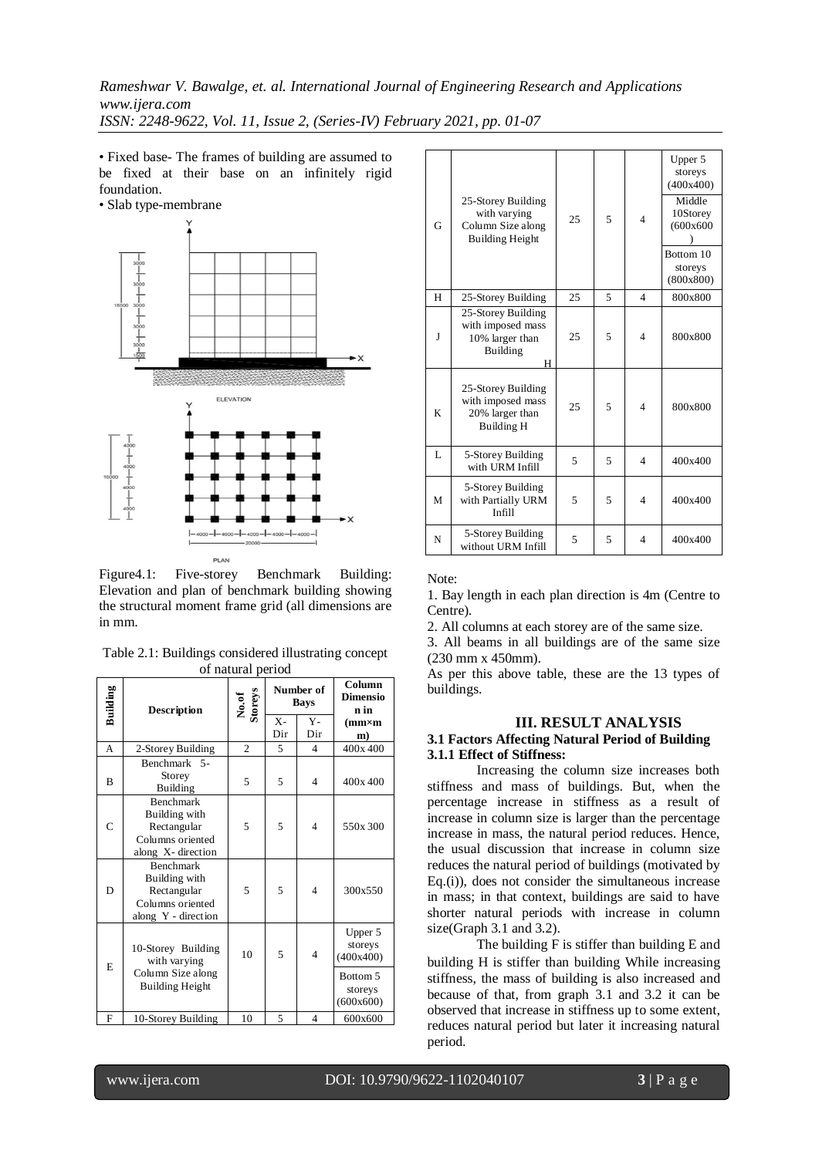# *Rameshwar V. Bawalge, et. al. International Journal of Engineering Research and Applications www.ijera.com*

*ISSN: 2248-9622, Vol. 11, Issue 2, (Series-IV) February 2021, pp. 01-07*

• Fixed base- The frames of building are assumed to be fixed at their base on an infinitely rigid foundation.



Figure4.1: Five-storey Benchmark Building: Elevation and plan of benchmark building showing the structural moment frame grid (all dimensions are in mm.

| Table 2.1: Buildings considered illustrating concept |  |
|------------------------------------------------------|--|
| of natural period                                    |  |

| <b>Building</b> | <b>Description</b>                                                                          | No.of<br>Storeys |              | Number of<br><b>Bays</b> | Column<br><b>Dimensio</b><br>n in |
|-----------------|---------------------------------------------------------------------------------------------|------------------|--------------|--------------------------|-----------------------------------|
|                 |                                                                                             |                  | $X -$<br>Dir | $Y -$<br>Dir             | $(mm \times m)$<br>m)             |
| A               | 2-Storey Building                                                                           | $\overline{c}$   | 5            | $\overline{4}$           | 400x 400                          |
| B               | Benchmark 5-<br>Storey<br>Building                                                          | 5                | 5            | 4                        | 400x 400                          |
| C               | <b>Benchmark</b><br>Building with<br>Rectangular<br>Columns oriented<br>along X- direction  | 5                | 5            | $\overline{4}$           | 550x 300                          |
| D               | <b>Benchmark</b><br>Building with<br>Rectangular<br>Columns oriented<br>along Y - direction | 5                | 5            | $\overline{4}$           | 300x550                           |
| E.              | 10-Storey Building<br>with varying                                                          | 10               | 5            | $\overline{4}$           | Upper 5<br>storeys<br>(400x400)   |
|                 | Column Size along<br><b>Building Height</b>                                                 |                  |              |                          | Bottom 5<br>storeys<br>(600x600)  |
| F               | 10-Storey Building                                                                          | 10               | 5            | 4                        | 600x600                           |

| G | 25-Storey Building<br>with varying<br>Column Size along<br><b>Building Height</b>  | 25             | 5              | $\overline{4}$ | Upper 5<br>storeys<br>(400x400)<br>Middle<br>10Storey<br>(600x600)<br>Bottom 10<br>storeys<br>(800x800) |
|---|------------------------------------------------------------------------------------|----------------|----------------|----------------|---------------------------------------------------------------------------------------------------------|
| H | 25-Storey Building                                                                 | 25             | 5              | $\overline{4}$ | 800x800                                                                                                 |
| J | 25-Storey Building<br>with imposed mass<br>10% larger than<br><b>Building</b><br>Н | 25             | 5              | $\overline{4}$ | 800x800                                                                                                 |
| K | 25-Storey Building<br>with imposed mass<br>20% larger than<br><b>Building H</b>    | 25             | $\overline{5}$ | $\overline{4}$ | 800x800                                                                                                 |
| L | 5-Storey Building<br>with URM Infill                                               | $\overline{5}$ | $\overline{5}$ | $\overline{4}$ | 400x400                                                                                                 |
| M | 5-Storey Building<br>with Partially URM<br>Infill                                  | $\overline{5}$ | 5              | $\overline{4}$ | 400x400                                                                                                 |
| N | 5-Storey Building<br>without URM Infill                                            | 5              | 5              | $\overline{4}$ | 400x400                                                                                                 |

Note:

1. Bay length in each plan direction is 4m (Centre to Centre).

2. All columns at each storey are of the same size.

3. All beams in all buildings are of the same size (230 mm x 450mm).

As per this above table, these are the 13 types of buildings.

### **III. RESULT ANALYSIS**

#### **3.1 Factors Affecting Natural Period of Building 3.1.1 Effect of Stiffness:**

Increasing the column size increases both stiffness and mass of buildings. But, when the percentage increase in stiffness as a result of increase in column size is larger than the percentage increase in mass, the natural period reduces. Hence, the usual discussion that increase in column size reduces the natural period of buildings (motivated by Eq.(i)), does not consider the simultaneous increase in mass; in that context, buildings are said to have shorter natural periods with increase in column size(Graph 3.1 and 3.2).

The building F is stiffer than building E and building H is stiffer than building While increasing stiffness, the mass of building is also increased and because of that, from graph 3.1 and 3.2 it can be observed that increase in stiffness up to some extent, reduces natural period but later it increasing natural period.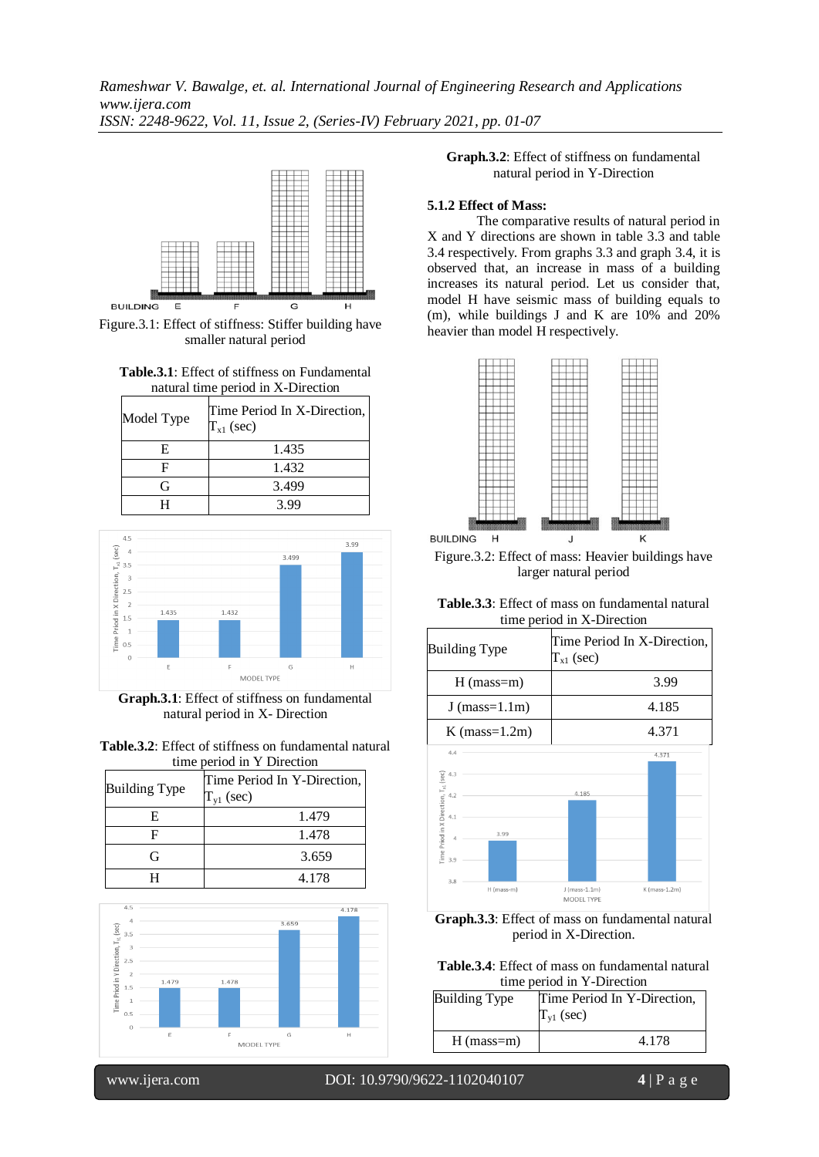

Figure.3.1: Effect of stiffness: Stiffer building have smaller natural period

**Table.3.1**: Effect of stiffness on Fundamental natural time period in X-Direction

| Model Type | Time Period In X-Direction,<br>$T_{x1}$ (sec) |
|------------|-----------------------------------------------|
| E          | 1.435                                         |
| F          | 1.432                                         |
| G          | 3.499                                         |
|            | 3.99                                          |



**Graph.3.1**: Effect of stiffness on fundamental natural period in X- Direction

**Table.3.2**: Effect of stiffness on fundamental natural time period in Y Direction

| <b>Building Type</b> | Time Period In Y-Direction,<br>$T_{v1}$ (sec) |
|----------------------|-----------------------------------------------|
| E                    | 1.479                                         |
|                      | 1.478                                         |
| G                    | 3.659                                         |
|                      | 4.178                                         |



**Graph.3.2**: Effect of stiffness on fundamental natural period in Y-Direction

#### **5.1.2 Effect of Mass:**

The comparative results of natural period in X and Y directions are shown in table 3.3 and table 3.4 respectively. From graphs 3.3 and graph 3.4, it is observed that, an increase in mass of a building increases its natural period. Let us consider that, model H have seismic mass of building equals to (m), while buildings J and K are 10% and 20% heavier than model H respectively.



Figure.3.2: Effect of mass: Heavier buildings have larger natural period

**Table.3.3**: Effect of mass on fundamental natural time period in X-Direction



**Graph.3.3**: Effect of mass on fundamental natural period in X-Direction.

**Table.3.4**: Effect of mass on fundamental natural time period in Y-Direction

| <b>Building Type</b> | Time Period In Y-Direction,<br>$T_{v1}$ (sec) |
|----------------------|-----------------------------------------------|
| $H (mass=m)$         | 4.178                                         |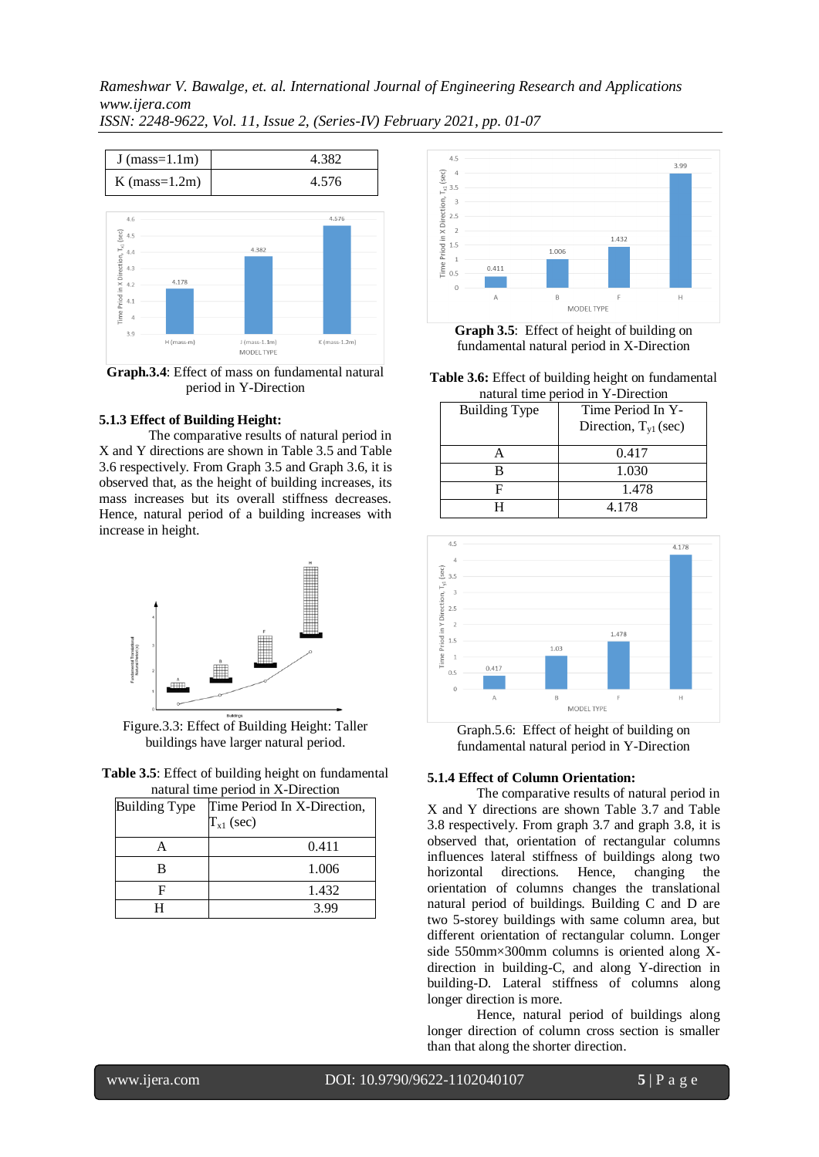*Rameshwar V. Bawalge, et. al. International Journal of Engineering Research and Applications www.ijera.com*





**Graph.3.4**: Effect of mass on fundamental natural period in Y-Direction

# **5.1.3 Effect of Building Height:**

The comparative results of natural period in X and Y directions are shown in Table 3.5 and Table 3.6 respectively. From Graph 3.5 and Graph 3.6, it is observed that, as the height of building increases, its mass increases but its overall stiffness decreases. Hence, natural period of a building increases with increase in height.



Figure.3.3: Effect of Building Height: Taller buildings have larger natural period.

| <b>Table 3.5:</b> Effect of building height on fundamental |
|------------------------------------------------------------|
| natural time period in X-Direction                         |

| <b>Building Type</b> | Time Period In X-Direction,<br>$T_{x1}$ (sec) |
|----------------------|-----------------------------------------------|
|                      | 0.411                                         |
| R                    | 1.006                                         |
|                      | 1.432                                         |
|                      | -QC                                           |





**Table 3.6:** Effect of building height on fundamental natural time period in Y-Direction

| $m$ . $m \sim p$ and $m \sim p$ |                                                |  |  |  |
|---------------------------------|------------------------------------------------|--|--|--|
| Building Type                   | Time Period In Y-<br>Direction, $T_{v1}$ (sec) |  |  |  |
|                                 | 0.417                                          |  |  |  |
| R                               | 1.030                                          |  |  |  |
| F                               | 1.478                                          |  |  |  |
|                                 | 4.178                                          |  |  |  |



Graph.5.6: Effect of height of building on fundamental natural period in Y-Direction

# **5.1.4 Effect of Column Orientation:**

The comparative results of natural period in X and Y directions are shown Table 3.7 and Table 3.8 respectively. From graph 3.7 and graph 3.8, it is observed that, orientation of rectangular columns influences lateral stiffness of buildings along two horizontal directions. Hence, changing the orientation of columns changes the translational natural period of buildings. Building C and D are two 5-storey buildings with same column area, but different orientation of rectangular column. Longer side 550mm×300mm columns is oriented along Xdirection in building-C, and along Y-direction in building-D. Lateral stiffness of columns along longer direction is more.

Hence, natural period of buildings along longer direction of column cross section is smaller than that along the shorter direction.

www.ijera.com DOI: 10.9790/9622-1102040107 **5** | P a g e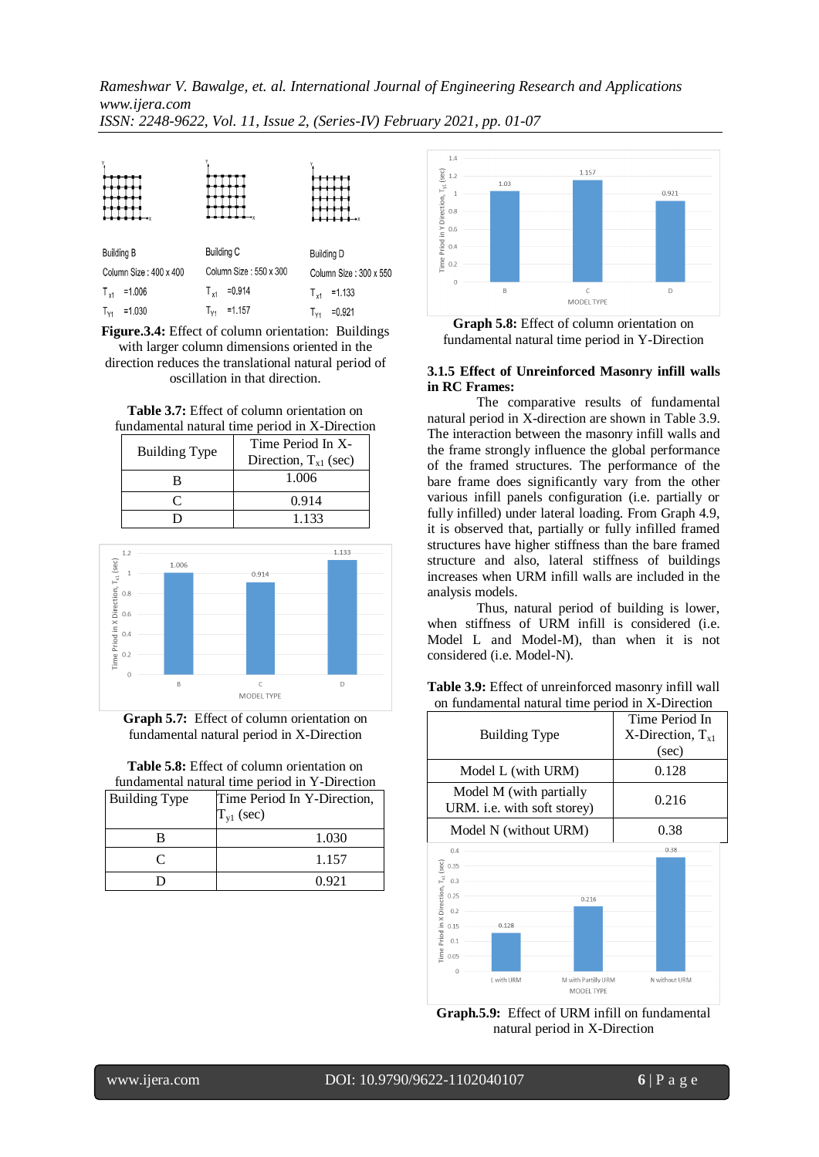*Rameshwar V. Bawalge, et. al. International Journal of Engineering Research and Applications www.ijera.com*

| ISSN: 2248-9622, Vol. 11, Issue 2, (Series-IV) February 2021, pp. 01-07 |  |  |  |  |  |  |
|-------------------------------------------------------------------------|--|--|--|--|--|--|
|-------------------------------------------------------------------------|--|--|--|--|--|--|



**Figure.3.4:** Effect of column orientation: Buildings with larger column dimensions oriented in the direction reduces the translational natural period of oscillation in that direction.

**Table 3.7:** Effect of column orientation on fundamental natural time period in X-Direction

| Building Type | Time Period In X-<br>Direction, $T_{x1}$ (sec) |
|---------------|------------------------------------------------|
|               | 1.006                                          |
|               | 0.914                                          |
|               | 1.133                                          |



**Graph 5.7:** Effect of column orientation on fundamental natural period in X-Direction

**Table 5.8:** Effect of column orientation on fundamental natural time period in Y-Direction

| <b>Building Type</b> | Time Period In Y-Direction,<br>$T_{\text{y1}}$ (sec) |
|----------------------|------------------------------------------------------|
| R                    | 1.030                                                |
| $\subset$            | 1.157                                                |
|                      | 0.921                                                |





#### **3.1.5 Effect of Unreinforced Masonry infill walls in RC Frames:**

The comparative results of fundamental natural period in X-direction are shown in Table 3.9. The interaction between the masonry infill walls and the frame strongly influence the global performance of the framed structures. The performance of the bare frame does significantly vary from the other various infill panels configuration (i.e. partially or fully infilled) under lateral loading. From Graph 4.9, it is observed that, partially or fully infilled framed structures have higher stiffness than the bare framed structure and also, lateral stiffness of buildings increases when URM infill walls are included in the analysis models.

Thus, natural period of building is lower, when stiffness of URM infill is considered (i.e. Model L and Model-M), than when it is not considered (i.e. Model-N).

**Table 3.9:** Effect of unreinforced masonry infill wall on fundamental natural time period in X-Direction



**Graph.5.9:** Effect of URM infill on fundamental natural period in X-Direction

www.ijera.com DOI: 10.9790/9622-1102040107 **6** | P a g e